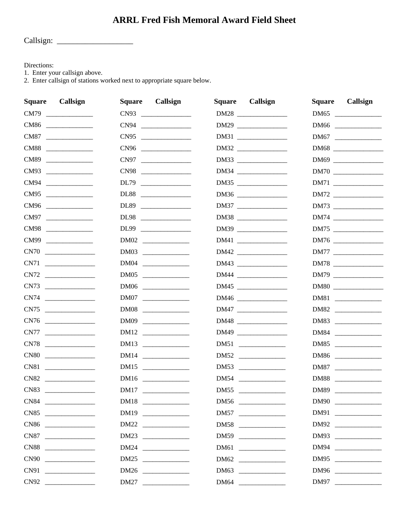## **ARRL Fred Fish Memoral Award Field Sheet**

Directions:

1. Enter your callsign above.

2. Enter callsign of stations worked next to appropriate square below.

| <b>Square</b> | Callsign                                                                                                                                                                                                                                                                                                                                                                                                                                                                                                                                                                                                                              | Callsign<br><b>Square</b> | Callsign<br><b>Square</b> | <b>Square</b><br>Callsign |
|---------------|---------------------------------------------------------------------------------------------------------------------------------------------------------------------------------------------------------------------------------------------------------------------------------------------------------------------------------------------------------------------------------------------------------------------------------------------------------------------------------------------------------------------------------------------------------------------------------------------------------------------------------------|---------------------------|---------------------------|---------------------------|
|               | CM79                                                                                                                                                                                                                                                                                                                                                                                                                                                                                                                                                                                                                                  | CN93                      | DM28                      | DM65                      |
|               | CM86                                                                                                                                                                                                                                                                                                                                                                                                                                                                                                                                                                                                                                  | CN94                      | DM29                      | DM66                      |
|               | CM87                                                                                                                                                                                                                                                                                                                                                                                                                                                                                                                                                                                                                                  | CN95                      | DM31                      | DM67                      |
|               | CM88                                                                                                                                                                                                                                                                                                                                                                                                                                                                                                                                                                                                                                  | CN96                      | DM32                      | DM68                      |
|               | CM89                                                                                                                                                                                                                                                                                                                                                                                                                                                                                                                                                                                                                                  | CN97                      | DM33                      | DM69                      |
|               | CM93                                                                                                                                                                                                                                                                                                                                                                                                                                                                                                                                                                                                                                  | CN98                      | DM34                      |                           |
|               | CM94                                                                                                                                                                                                                                                                                                                                                                                                                                                                                                                                                                                                                                  | DL79                      | DM35                      | DM71                      |
|               | CM95                                                                                                                                                                                                                                                                                                                                                                                                                                                                                                                                                                                                                                  | DL88                      | DM36                      | DM72                      |
|               | CM96                                                                                                                                                                                                                                                                                                                                                                                                                                                                                                                                                                                                                                  | DL89                      | DM37                      | DM73                      |
|               | CM97                                                                                                                                                                                                                                                                                                                                                                                                                                                                                                                                                                                                                                  | DL98                      | DM38                      | DM74                      |
|               | CM98                                                                                                                                                                                                                                                                                                                                                                                                                                                                                                                                                                                                                                  | DL99                      | DM39                      | DM75                      |
|               | CM99 and the control of the control of the control of the control of the control of the control of the control of the control of the control of the control of the control of the control of the control of the control of the                                                                                                                                                                                                                                                                                                                                                                                                        |                           |                           | DM76                      |
|               | C N 70                                                                                                                                                                                                                                                                                                                                                                                                                                                                                                                                                                                                                                |                           | DM42                      | DM77 ______________       |
|               | CN71                                                                                                                                                                                                                                                                                                                                                                                                                                                                                                                                                                                                                                  |                           | DM43                      | DM78                      |
|               | C N 72                                                                                                                                                                                                                                                                                                                                                                                                                                                                                                                                                                                                                                | DM05                      | DM44                      |                           |
|               | CN73                                                                                                                                                                                                                                                                                                                                                                                                                                                                                                                                                                                                                                  | DM06                      |                           | DM80                      |
|               | CN74                                                                                                                                                                                                                                                                                                                                                                                                                                                                                                                                                                                                                                  | DM07                      | DM46                      | DM81                      |
|               | C N 75                                                                                                                                                                                                                                                                                                                                                                                                                                                                                                                                                                                                                                | DM08                      | DM47                      | DM82                      |
|               | C N 76                                                                                                                                                                                                                                                                                                                                                                                                                                                                                                                                                                                                                                |                           | DM48                      | DM83                      |
|               |                                                                                                                                                                                                                                                                                                                                                                                                                                                                                                                                                                                                                                       | DM12                      | DM49                      | DM84                      |
|               | CN78                                                                                                                                                                                                                                                                                                                                                                                                                                                                                                                                                                                                                                  | DM13                      |                           | DM85                      |
|               | $\begin{tabular}{c} CNS0 & \begin{tabular}{@{}c@{}} \quad \quad & \quad \quad & \quad \quad \\ \quad \quad & \quad \quad & \quad \quad \\ \quad \quad & \quad \quad & \quad \quad \\ \quad \quad & \quad \quad & \quad \quad \\ \quad \quad & \quad \quad & \quad \quad \\ \quad \quad & \quad \quad & \quad \quad \\ \quad \quad & \quad \quad & \quad \quad \\ \quad \quad & \quad \quad & \quad \quad \\ \quad \quad & \quad \quad & \quad \quad \\ \quad \quad & \quad \quad & \quad \quad \\ \quad \quad & \quad \quad & \quad \quad \\ \quad \quad & \quad \quad & \quad \quad \\ \quad \quad & \quad \quad & \quad \quad \\ \$ |                           | DM52                      | DM86                      |
|               |                                                                                                                                                                                                                                                                                                                                                                                                                                                                                                                                                                                                                                       | DM15                      | DM53                      | DM87                      |
|               | CN82                                                                                                                                                                                                                                                                                                                                                                                                                                                                                                                                                                                                                                  |                           | DM54                      | DM88                      |
|               | CN83                                                                                                                                                                                                                                                                                                                                                                                                                                                                                                                                                                                                                                  |                           | DM55                      | DM89                      |
|               | CN84                                                                                                                                                                                                                                                                                                                                                                                                                                                                                                                                                                                                                                  |                           | DM56                      | DM90                      |
|               | CN85                                                                                                                                                                                                                                                                                                                                                                                                                                                                                                                                                                                                                                  | DM19                      | DM57                      | DM91                      |
|               | CN86                                                                                                                                                                                                                                                                                                                                                                                                                                                                                                                                                                                                                                  | DM22                      | DM58                      | DM92                      |
|               | CN87                                                                                                                                                                                                                                                                                                                                                                                                                                                                                                                                                                                                                                  | DM23                      | DM59                      | DM93                      |
|               | CN88                                                                                                                                                                                                                                                                                                                                                                                                                                                                                                                                                                                                                                  | DM24                      | DM61                      | DM94                      |
|               | C N90                                                                                                                                                                                                                                                                                                                                                                                                                                                                                                                                                                                                                                 | DM25                      | DM62                      | DM95                      |
|               |                                                                                                                                                                                                                                                                                                                                                                                                                                                                                                                                                                                                                                       | DM26                      | DM63                      | DM96                      |
|               | CN92                                                                                                                                                                                                                                                                                                                                                                                                                                                                                                                                                                                                                                  | DM27 ___________          | DM64                      | DM97                      |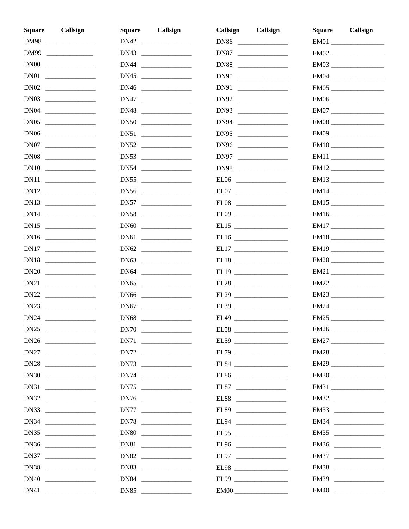| <b>Square</b> | Callsign | Callsign<br><b>Square</b> | Callsign<br>Callsign                                                                                                                                                                                                                                                                                                                                                                                                        | Callsign<br>Square |
|---------------|----------|---------------------------|-----------------------------------------------------------------------------------------------------------------------------------------------------------------------------------------------------------------------------------------------------------------------------------------------------------------------------------------------------------------------------------------------------------------------------|--------------------|
|               | DM98     | DN42                      | DN86                                                                                                                                                                                                                                                                                                                                                                                                                        |                    |
|               |          | DN43                      | DN87                                                                                                                                                                                                                                                                                                                                                                                                                        |                    |
|               |          | DN44 _______________      | DN88                                                                                                                                                                                                                                                                                                                                                                                                                        |                    |
|               |          | DN45                      | DN90                                                                                                                                                                                                                                                                                                                                                                                                                        |                    |
|               |          |                           | DN91                                                                                                                                                                                                                                                                                                                                                                                                                        |                    |
|               |          | DN47                      | DN92                                                                                                                                                                                                                                                                                                                                                                                                                        |                    |
|               |          | DN48                      | DN93                                                                                                                                                                                                                                                                                                                                                                                                                        | EM07               |
|               |          | DNS0                      | DN94                                                                                                                                                                                                                                                                                                                                                                                                                        | $EM08$             |
|               |          |                           | DN95                                                                                                                                                                                                                                                                                                                                                                                                                        |                    |
|               | DN07     | DN52                      | DN96                                                                                                                                                                                                                                                                                                                                                                                                                        |                    |
|               | DN08     | DNS3                      | DN97                                                                                                                                                                                                                                                                                                                                                                                                                        |                    |
|               | DN10     | DN54                      | DN98                                                                                                                                                                                                                                                                                                                                                                                                                        |                    |
|               |          | DN55                      |                                                                                                                                                                                                                                                                                                                                                                                                                             |                    |
|               |          |                           | EL07                                                                                                                                                                                                                                                                                                                                                                                                                        |                    |
|               |          | DN57                      | EL08 $\qquad$                                                                                                                                                                                                                                                                                                                                                                                                               |                    |
|               |          | DNS                       | EL09                                                                                                                                                                                                                                                                                                                                                                                                                        |                    |
|               |          |                           |                                                                                                                                                                                                                                                                                                                                                                                                                             | EM17               |
|               |          |                           |                                                                                                                                                                                                                                                                                                                                                                                                                             |                    |
|               |          |                           |                                                                                                                                                                                                                                                                                                                                                                                                                             |                    |
|               | DN18     | DN63                      |                                                                                                                                                                                                                                                                                                                                                                                                                             |                    |
|               |          | DN64                      |                                                                                                                                                                                                                                                                                                                                                                                                                             |                    |
|               |          | DN65                      | EL28 $\frac{1}{\sqrt{1-\frac{1}{2}}}\frac{1}{\sqrt{1-\frac{1}{2}}}\frac{1}{\sqrt{1-\frac{1}{2}}}\frac{1}{\sqrt{1-\frac{1}{2}}}\frac{1}{\sqrt{1-\frac{1}{2}}}\frac{1}{\sqrt{1-\frac{1}{2}}}\frac{1}{\sqrt{1-\frac{1}{2}}}\frac{1}{\sqrt{1-\frac{1}{2}}}\frac{1}{\sqrt{1-\frac{1}{2}}}\frac{1}{\sqrt{1-\frac{1}{2}}}\frac{1}{\sqrt{1-\frac{1}{2}}}\frac{1}{\sqrt{1-\frac{1}{2}}}\frac{1}{\sqrt{1-\frac{1}{2}}}\frac{1}{\sqrt$ | $EM22$             |
|               | DN22     |                           | EL29                                                                                                                                                                                                                                                                                                                                                                                                                        | EM23               |
|               | DN23     |                           | EL39                                                                                                                                                                                                                                                                                                                                                                                                                        | EM24               |
|               | DN24     | DN68                      |                                                                                                                                                                                                                                                                                                                                                                                                                             |                    |
|               | DN25     |                           | EL58                                                                                                                                                                                                                                                                                                                                                                                                                        | EM26               |
|               |          | DN71                      | EL59                                                                                                                                                                                                                                                                                                                                                                                                                        |                    |
|               | DN27     | DN72                      | EL79                                                                                                                                                                                                                                                                                                                                                                                                                        |                    |
|               | DN28     | DN73                      | EL84                                                                                                                                                                                                                                                                                                                                                                                                                        |                    |
|               | DN30     | DN74                      | EL86                                                                                                                                                                                                                                                                                                                                                                                                                        | EM30               |
|               |          |                           | EL87                                                                                                                                                                                                                                                                                                                                                                                                                        |                    |
|               | DN32     |                           | EL88                                                                                                                                                                                                                                                                                                                                                                                                                        | EM32               |
|               | DN33     | DN77                      | EL89                                                                                                                                                                                                                                                                                                                                                                                                                        | EM33               |
|               | DN34     |                           | EL94                                                                                                                                                                                                                                                                                                                                                                                                                        | EM34               |
|               | DN35     |                           | EL95                                                                                                                                                                                                                                                                                                                                                                                                                        | EM35               |
|               | DN36     |                           |                                                                                                                                                                                                                                                                                                                                                                                                                             |                    |
|               | DN37     | DN82                      | EL97                                                                                                                                                                                                                                                                                                                                                                                                                        | EM37               |
|               | DN38     | DN83                      | EL98                                                                                                                                                                                                                                                                                                                                                                                                                        | EM38               |
|               | DN40     | DN84                      | EL99                                                                                                                                                                                                                                                                                                                                                                                                                        | EM39               |
|               |          | DN85                      |                                                                                                                                                                                                                                                                                                                                                                                                                             | EM40               |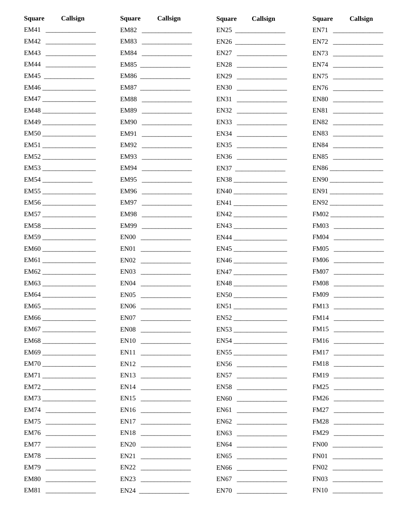| <b>Square</b><br>Callsign       | <b>Square</b><br>Callsign | Callsign<br><b>Square</b> | Callsign<br>Square   |
|---------------------------------|---------------------------|---------------------------|----------------------|
| EM41                            | EM82                      |                           | EN71                 |
| EM42                            | EM83                      |                           |                      |
| EM43                            | EM84                      |                           | EN73                 |
| EM44 _______________            | EM85                      | EN28                      | EN74                 |
| EM45                            | EM86                      |                           |                      |
| $EM46 \underline{\hspace{1cm}}$ | EM87                      |                           | EN76                 |
| EM47                            | EM88                      | EN31                      | EN80                 |
| $EM48$                          | EM89                      | EN32                      | EN81                 |
|                                 | EM90                      | EN33                      | EN82                 |
| EM50                            | EM91                      |                           | EN83                 |
| EM51                            | EM92                      | EN35                      | EN84                 |
|                                 | EM93                      | EN36                      | EN85                 |
| EM53                            | EM94                      | EN37                      | $EN86$               |
| EM54                            | EM95                      | EN38                      |                      |
| EM55                            | EM96                      | EN40                      |                      |
|                                 | EM97                      |                           | $EN92$               |
| EM57                            | EM98                      |                           | $FMO2$               |
|                                 | EM99                      | EN43                      |                      |
| EM59                            | EN00                      |                           | $F M04$              |
| $EM60$                          |                           |                           |                      |
|                                 |                           |                           |                      |
|                                 |                           |                           | FM07                 |
| EM63                            |                           |                           |                      |
| EM64 __________________         |                           | $EN50$                    | FM09                 |
| EM65                            | EN06                      |                           | FM13 _______________ |
|                                 |                           | EN52                      |                      |
| EM67                            |                           | EN53                      | FM15                 |
|                                 |                           | EN54                      |                      |
|                                 |                           | EN55                      |                      |
|                                 |                           |                           | FM18                 |
|                                 |                           | EN57                      | FM19                 |
|                                 |                           |                           | FM25                 |
|                                 |                           |                           |                      |
| EM74                            |                           |                           |                      |
| EM75                            | EN17                      | EN62                      |                      |
| EM76                            |                           |                           | FM29                 |
| EM77                            |                           | EN64                      | $FN00$               |
| EM78                            |                           | EN65                      |                      |
| EM79                            |                           |                           |                      |
| EM80                            | EN23                      | EN67                      |                      |
| EM81                            |                           |                           |                      |